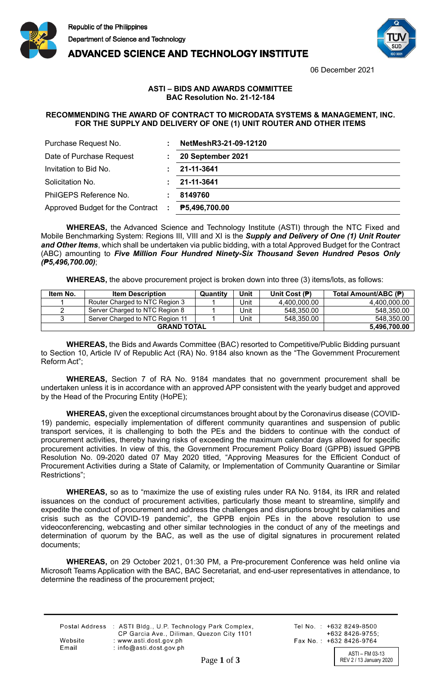

**ADVANCED SCIENCE AND TECHNOLOGY INSTITUTE** 



06 December 2021

## **ASTI – BIDS AND AWARDS COMMITTEE BAC Resolution No. 21-12-184**

## **RECOMMENDING THE AWARD OF CONTRACT TO MICRODATA SYSTEMS & MANAGEMENT, INC. FOR THE SUPPLY AND DELIVERY OF ONE (1) UNIT ROUTER AND OTHER ITEMS**

| Purchase Request No.                          | NetMeshR3-21-09-12120 |
|-----------------------------------------------|-----------------------|
| Date of Purchase Request                      | 20 September 2021     |
| Invitation to Bid No.                         | 21-11-3641            |
| Solicitation No.                              | 21-11-3641            |
| PhilGEPS Reference No.                        | 8149760               |
| Approved Budget for the Contract<br>$\sim$ 1. | P5,496,700.00         |

**WHEREAS,** the Advanced Science and Technology Institute (ASTI) through the NTC Fixed and Mobile Benchmarking System: Regions III, VIII and XI is the *Supply and Delivery of One (1) Unit Router and Other Items*, which shall be undertaken via public bidding, with a total Approved Budget for the Contract (ABC) amounting to *Five Million Four Hundred Ninety-Six Thousand Seven Hundred Pesos Only (₱5,496,700.00)*;

**WHEREAS,** the above procurement project is broken down into three (3) items/lots, as follows:

| Item No. | <b>Item Description</b>         | Quantity | Unit | Unit Cost (尹) | Total Amount/ABC (P) |
|----------|---------------------------------|----------|------|---------------|----------------------|
|          | Router Charged to NTC Region 3  |          | Unit | 4.400.000.00  | 4,400,000.00         |
|          | Server Charged to NTC Region 8  |          | Unit | 548.350.00    | 548,350.00           |
|          | Server Charged to NTC Region 11 |          | Unit | 548.350.00    | 548.350.00           |
|          | 5.496.700.00                    |          |      |               |                      |

**WHEREAS,** the Bids and Awards Committee (BAC) resorted to Competitive/Public Bidding pursuant to Section 10, Article IV of Republic Act (RA) No. 9184 also known as the "The Government Procurement Reform Act";

**WHEREAS,** Section 7 of RA No. 9184 mandates that no government procurement shall be undertaken unless it is in accordance with an approved APP consistent with the yearly budget and approved by the Head of the Procuring Entity (HoPE);

**WHEREAS,** given the exceptional circumstances brought about by the Coronavirus disease (COVID-19) pandemic, especially implementation of different community quarantines and suspension of public transport services, it is challenging to both the PEs and the bidders to continue with the conduct of procurement activities, thereby having risks of exceeding the maximum calendar days allowed for specific procurement activities. In view of this, the Government Procurement Policy Board (GPPB) issued GPPB Resolution No. 09-2020 dated 07 May 2020 titled, "Approving Measures for the Efficient Conduct of Procurement Activities during a State of Calamity, or Implementation of Community Quarantine or Similar Restrictions";

**WHEREAS,** so as to "maximize the use of existing rules under RA No. 9184, its IRR and related issuances on the conduct of procurement activities, particularly those meant to streamline, simplify and expedite the conduct of procurement and address the challenges and disruptions brought by calamities and crisis such as the COVID-19 pandemic", the GPPB enjoin PEs in the above resolution to use videoconferencing, webcasting and other similar technologies in the conduct of any of the meetings and determination of quorum by the BAC, as well as the use of digital signatures in procurement related documents;

**WHEREAS,** on 29 October 2021, 01:30 PM, a Pre-procurement Conference was held online via Microsoft Teams Application with the BAC, BAC Secretariat, and end-user representatives in attendance, to determine the readiness of the procurement project;

|         | Postal Address : ASTI Bldg., U.P. Technology Park Complex, |
|---------|------------------------------------------------------------|
|         | CP Garcia Ave., Diliman, Quezon City 1101                  |
| Website | : www.asti.dost.gov.ph                                     |
| Email   | : $info@asti.dost.gov.ph$                                  |

Tel No.: +632 8249-8500  $+6328426-9755$ Fax No.: +632 8426-9764

ASTI – FM 03-13 Page 1 of 3 REV 2 / 13 January 2020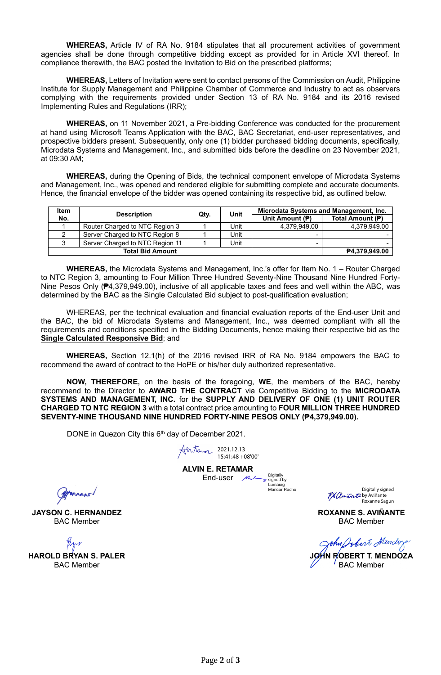**WHEREAS,** Article IV of RA No. 9184 stipulates that all procurement activities of government agencies shall be done through competitive bidding except as provided for in Article XVI thereof. In compliance therewith, the BAC posted the Invitation to Bid on the prescribed platforms;

**WHEREAS,** Letters of Invitation were sent to contact persons of the Commission on Audit, Philippine Institute for Supply Management and Philippine Chamber of Commerce and Industry to act as observers complying with the requirements provided under Section 13 of RA No. 9184 and its 2016 revised Implementing Rules and Regulations (IRR);

**WHEREAS,** on 11 November 2021, a Pre-bidding Conference was conducted for the procurement at hand using Microsoft Teams Application with the BAC, BAC Secretariat, end-user representatives, and prospective bidders present. Subsequently, only one (1) bidder purchased bidding documents, specifically, Microdata Systems and Management, Inc., and submitted bids before the deadline on 23 November 2021, at 09:30 AM;

**WHEREAS,** during the Opening of Bids, the technical component envelope of Microdata Systems and Management, Inc., was opened and rendered eligible for submitting complete and accurate documents. Hence, the financial envelope of the bidder was opened containing its respective bid, as outlined below.

| <b>Item</b> | <b>Description</b>              | Qty. | Unit          | Microdata Systems and Management, Inc. |                  |
|-------------|---------------------------------|------|---------------|----------------------------------------|------------------|
| No.         |                                 |      |               | Unit Amount (P)                        | Total Amount (P) |
|             | Router Charged to NTC Region 3  |      | Unit          | 4.379.949.00                           | 4.379.949.00     |
|             | Server Charged to NTC Region 8  |      | Unit          | -                                      |                  |
|             | Server Charged to NTC Region 11 |      | Unit          | -                                      |                  |
|             | <b>Total Bid Amount</b>         |      | P4,379,949.00 |                                        |                  |

**WHEREAS,** the Microdata Systems and Management, Inc.'s offer for Item No. 1 – Router Charged to NTC Region 3, amounting to Four Million Three Hundred Seventy-Nine Thousand Nine Hundred Forty-Nine Pesos Only (₱4,379,949.00), inclusive of all applicable taxes and fees and well within the ABC, was determined by the BAC as the Single Calculated Bid subject to post-qualification evaluation;

WHEREAS, per the technical evaluation and financial evaluation reports of the End-user Unit and the BAC, the bid of Microdata Systems and Management, Inc., was deemed compliant with all the requirements and conditions specified in the Bidding Documents, hence making their respective bid as the **Single Calculated Responsive Bid**; and

**WHEREAS,** Section 12.1(h) of the 2016 revised IRR of RA No. 9184 empowers the BAC to recommend the award of contract to the HoPE or his/her duly authorized representative.

**NOW, THEREFORE,** on the basis of the foregoing, **WE**, the members of the BAC, hereby recommend to the Director to **AWARD THE CONTRACT** via Competitive Bidding to the **MICRODATA SYSTEMS AND MANAGEMENT, INC.** for the **SUPPLY AND DELIVERY OF ONE (1) UNIT ROUTER CHARGED TO NTC REGION 3** with a total contract price amounting to **FOUR MILLION THREE HUNDRED SEVENTY-NINE THOUSAND NINE HUNDRED FORTY-NINE PESOS ONLY (₱4,379,949.00).**

DONE in Quezon City this 6<sup>th</sup> day of December 2021.

2021.12.13 15:41:48 +08'00'

**ALVIN E. RETAMAR** End-user  $M \sim$ 

signed by Lumauio Maricar Racho

Digitally

Digitally signed K& anivator by Aviñante Roxanne Sagun

**ROXANNE S. AVIÑANTE** BAC Member

John Jobert Mindoys

**JOHN ROBERT T. MENDOZA** BAC Member

(Attennano)

**JAYSON C. HERNANDEZ** BAC Member

**HAROLD BRYAN S. PALER** BAC Member